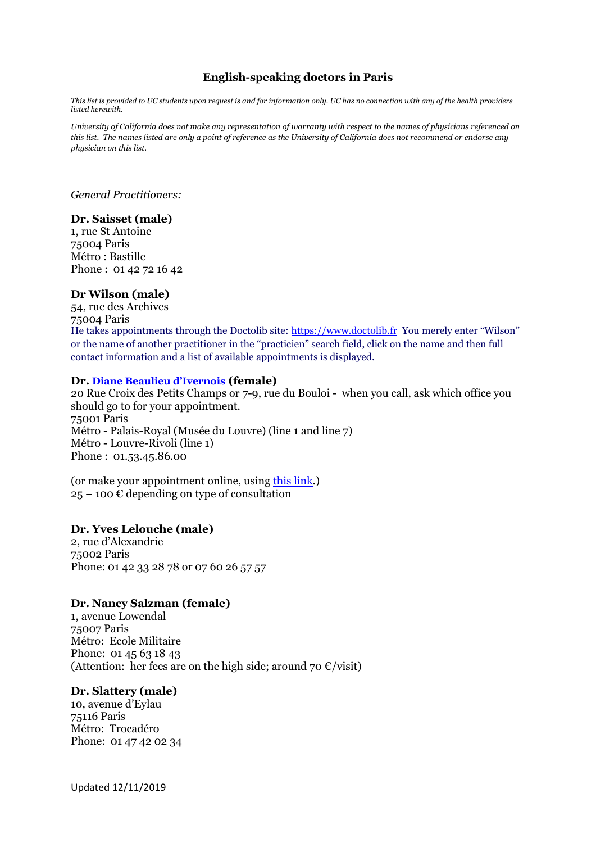# **English-speaking doctors in Paris**

*This list is provided to UC students upon request is and for information only. UC has no connection with any of the health providers listed herewith.*

*University of California does not make any representation of warranty with respect to the names of physicians referenced on this list. The names listed are only a point of reference as the University of California does not recommend or endorse any physician on this list.*

*General Practitioners:*

### **Dr. Saisset (male)**

1, rue St Antoine 75004 Paris Métro : Bastille Phone : 01 42 72 16 42

#### **Dr Wilson (male)**

54, rue des Archives 75004 Paris He takes appointments through the Doctolib site: [https://www.doctolib.fr](https://www.doctolib.fr/) You merely enter "Wilson" or the name of another practitioner in the "practicien" search field, click on the name and then full contact information and a list of available appointments is displayed.

#### **Dr. [Diane Beaulieu d'Ivernois](https://www.doctolib.fr/medecin-generaliste/paris/diane-beaulieu-d-ivernois?utm_source=google&utm_medium=organic&utm_term=medecin-generaliste&utm_content=paris&utm_campaign=google-maps) (female)**

20 Rue Croix des Petits Champs or 7-9, rue du Bouloi - when you call, ask which office you should go to for your appointment. 75001 Paris Métro - Palais-Royal (Musée du Louvre) (line 1 and line 7) Métro - Louvre-Rivoli (line 1) Phone : 01.53.45.86.00

(or make your appointment online, using [this link.](https://www.doctolib.fr/medecin-generaliste/paris/diane-beaulieu-d-ivernois?utm_source=google&utm_medium=organic&utm_term=medecin-generaliste&utm_content=paris&utm_campaign=google-maps))  $25 - 100 \&$  depending on type of consultation

#### **Dr. Yves Lelouche (male)**

2, rue d'Alexandrie 75002 Paris Phone: 01 42 33 28 78 or 07 60 26 57 57

#### **Dr. Nancy Salzman (female)**

1, avenue Lowendal 75007 Paris Métro: Ecole Militaire Phone: 01 45 63 18 43 (Attention: her fees are on the high side; around 70  $\epsilon$ /visit)

#### **Dr. Slattery (male)**

10, avenue d'Eylau 75116 Paris Métro: Trocadéro Phone: 01 47 42 02 34

Updated 12/11/2019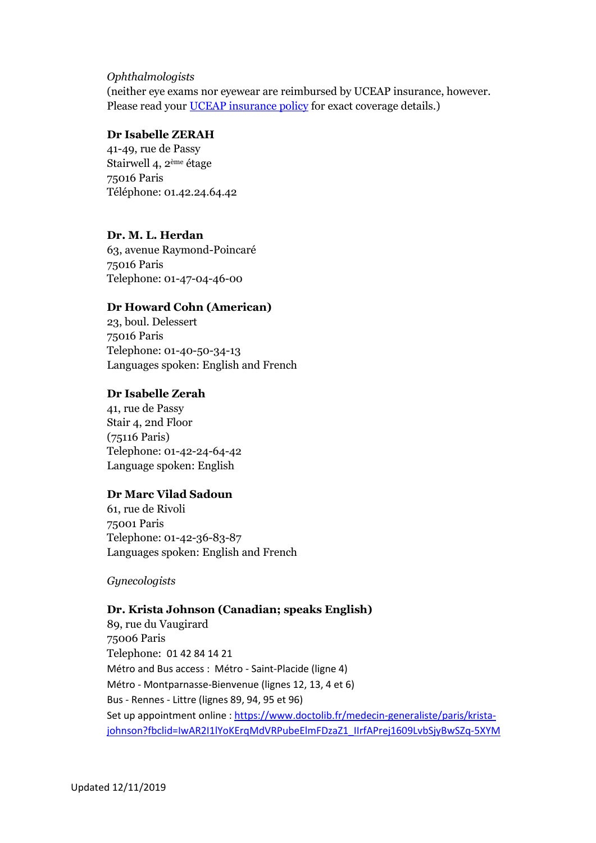## *Ophthalmologists*

(neither eye exams nor eyewear are reimbursed by UCEAP insurance, however. Please read your [UCEAP insurance policy](2016-2017_Insurance_Benefits_at_a_Glance.pdf) for exact coverage details.)

# **Dr Isabelle ZERAH**

41-49, rue de Passy Stairwell 4, 2ème étage 75016 Paris Téléphone: 01.42.24.64.42

# **Dr. M. L. Herdan**

63, avenue Raymond-Poincaré 75016 Paris Telephone: 01-47-04-46-00

## **Dr Howard Cohn (American)**

23, boul. Delessert 75016 Paris Telephone: 01-40-50-34-13 Languages spoken: English and French

### **Dr Isabelle Zerah**

41, rue de Passy Stair 4, 2nd Floor (75116 Paris) Telephone: 01-42-24-64-42 Language spoken: English

### **Dr Marc Vilad Sadoun**

61, rue de Rivoli 75001 Paris Telephone: 01-42-36-83-87 Languages spoken: English and French

*Gynecologists*

## **Dr. Krista Johnson (Canadian; speaks English)**

89, rue du Vaugirard 75006 Paris Telephone: 01 42 84 14 21 Métro and Bus access : Métro - Saint-Placide (ligne 4) Métro - Montparnasse-Bienvenue (lignes 12, 13, 4 et 6) Bus - Rennes - Littre (lignes 89, 94, 95 et 96) Set up appointment online : [https://www.doctolib.fr/medecin-generaliste/paris/krista](https://www.doctolib.fr/medecin-generaliste/paris/krista-johnson?fbclid=IwAR2I1lYoKErqMdVRPubeElmFDzaZ1_IIrfAPrej1609LvbSjyBwSZq-5XYM)[johnson?fbclid=IwAR2I1lYoKErqMdVRPubeElmFDzaZ1\\_IIrfAPrej1609LvbSjyBwSZq-5XYM](https://www.doctolib.fr/medecin-generaliste/paris/krista-johnson?fbclid=IwAR2I1lYoKErqMdVRPubeElmFDzaZ1_IIrfAPrej1609LvbSjyBwSZq-5XYM)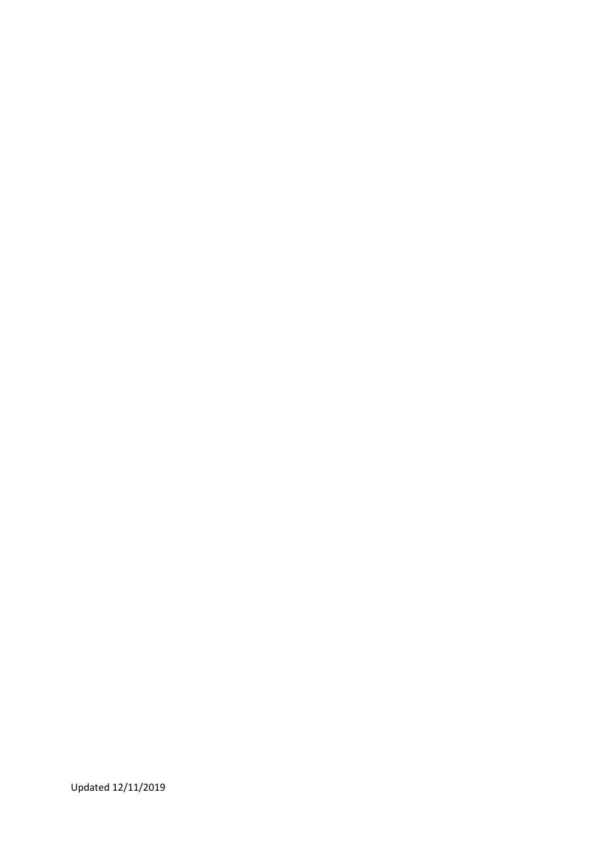Updated 12/11/2019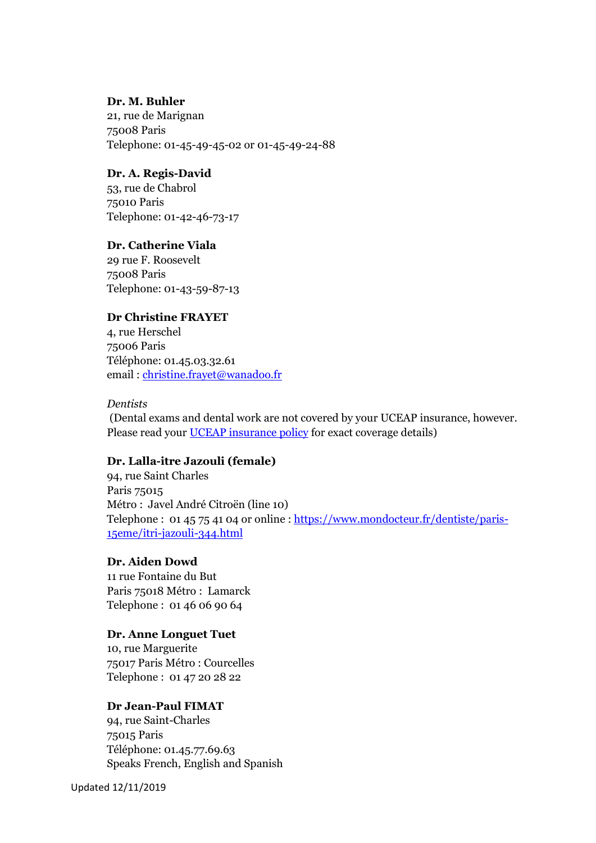# **Dr. M. Buhler**

21, rue de Marignan 75008 Paris Telephone: 01-45-49-45-02 or 01-45-49-24-88

### **Dr. A. Regis-David**

53, rue de Chabrol 75010 Paris Telephone: 01-42-46-73-17

# **Dr. Catherine Viala**

29 rue F. Roosevelt 75008 Paris Telephone: 01-43-59-87-13

# **Dr Christine FRAYET**

4, rue Herschel 75006 Paris Téléphone: 01.45.03.32.61 email : [christine.frayet@wanadoo.fr](mailto:christine.frayet@wanadoo.fr)

## *Dentists*

(Dental exams and dental work are not covered by your UCEAP insurance, however. Please read your [UCEAP insurance policy](2016-2017_Insurance_Benefits_at_a_Glance.pdf) for exact coverage details)

### **Dr. Lalla-itre Jazouli (female)**

94, rue Saint Charles Paris 75015 Métro : Javel André Citroën (line 10) Telephone : 01 45 75 41 04 or online [: https://www.mondocteur.fr/dentiste/paris-](https://www.mondocteur.fr/dentiste/paris-15eme/itri-jazouli-344.html)[15eme/itri-jazouli-344.html](https://www.mondocteur.fr/dentiste/paris-15eme/itri-jazouli-344.html)

# **Dr. Aiden Dowd**

11 rue Fontaine du But Paris 75018 Métro : Lamarck Telephone : 01 46 06 90 64

### **Dr. Anne Longuet Tuet**

10, rue Marguerite 75017 Paris Métro : Courcelles Telephone : 01 47 20 28 22

# **Dr Jean-Paul FIMAT**

94, rue Saint-Charles 75015 Paris Téléphone: 01.45.77.69.63 Speaks French, English and Spanish

Updated 12/11/2019